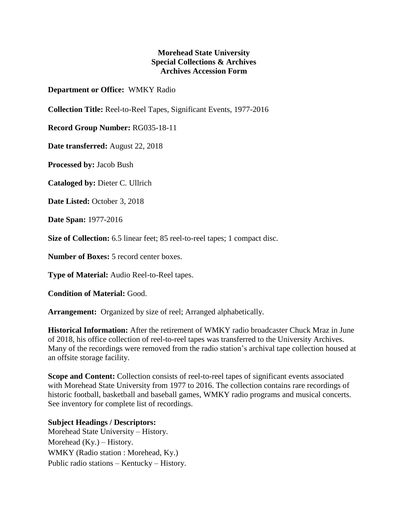## **Morehead State University Special Collections & Archives Archives Accession Form**

## **Department or Office:** WMKY Radio

**Collection Title:** Reel-to-Reel Tapes, Significant Events, 1977-2016

**Record Group Number:** RG035-18-11

**Date transferred:** August 22, 2018

**Processed by:** Jacob Bush

**Cataloged by:** Dieter C. Ullrich

**Date Listed:** October 3, 2018

**Date Span:** 1977-2016

**Size of Collection:** 6.5 linear feet; 85 reel-to-reel tapes; 1 compact disc.

**Number of Boxes:** 5 record center boxes.

**Type of Material:** Audio Reel-to-Reel tapes.

**Condition of Material:** Good.

**Arrangement:** Organized by size of reel; Arranged alphabetically.

**Historical Information:** After the retirement of WMKY radio broadcaster Chuck Mraz in June of 2018, his office collection of reel-to-reel tapes was transferred to the University Archives. Many of the recordings were removed from the radio station's archival tape collection housed at an offsite storage facility.

**Scope and Content:** Collection consists of reel-to-reel tapes of significant events associated with Morehead State University from 1977 to 2016. The collection contains rare recordings of historic football, basketball and baseball games, WMKY radio programs and musical concerts. See inventory for complete list of recordings.

## **Subject Headings / Descriptors:**

Morehead State University – History. Morehead  $(Ky)$  – History. WMKY (Radio station : Morehead, Ky.) Public radio stations – Kentucky – History.